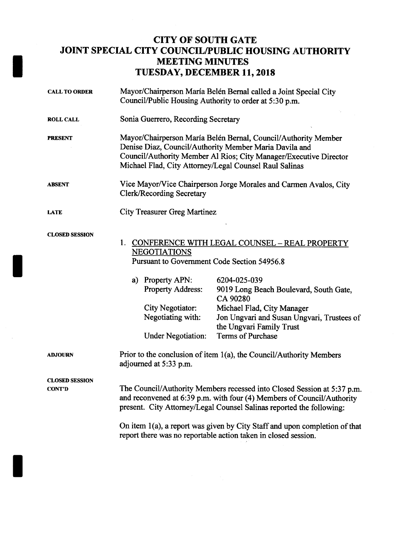## CITY OF SOUTH GATE JOINT SPECIAL CITY COUNCIL/PUBLIC HOUSING AUTHORITY MEETING MINUTES TUESDAY, DECEMBER 11,2018

| <b>CALL TO ORDER</b>                   | Mayor/Chairperson María Belén Bernal called a Joint Special City<br>Council/Public Housing Authority to order at 5:30 p.m.                                                                                                                              |                                                                                                                                                |
|----------------------------------------|---------------------------------------------------------------------------------------------------------------------------------------------------------------------------------------------------------------------------------------------------------|------------------------------------------------------------------------------------------------------------------------------------------------|
| <b>ROLL CALL</b>                       | Sonia Guerrero, Recording Secretary                                                                                                                                                                                                                     |                                                                                                                                                |
| <b>PRESENT</b>                         | Mayor/Chairperson María Belén Bernal, Council/Authority Member<br>Denise Diaz, Council/Authority Member Maria Davila and<br>Council/Authority Member Al Rios; City Manager/Executive Director<br>Michael Flad, City Attorney/Legal Counsel Raul Salinas |                                                                                                                                                |
| <b>ABSENT</b>                          | Vice Mayor/Vice Chairperson Jorge Morales and Carmen Avalos, City<br><b>Clerk/Recording Secretary</b>                                                                                                                                                   |                                                                                                                                                |
| <b>LATE</b>                            | <b>City Treasurer Greg Martinez</b>                                                                                                                                                                                                                     |                                                                                                                                                |
| <b>CLOSED SESSION</b>                  | 1.<br>CONFERENCE WITH LEGAL COUNSEL - REAL PROPERTY<br><b>NEGOTIATIONS</b><br>Pursuant to Government Code Section 54956.8                                                                                                                               |                                                                                                                                                |
|                                        | a) Property APN:<br><b>Property Address:</b><br>City Negotiator:<br>Negotiating with:                                                                                                                                                                   | 6204-025-039<br>9019 Long Beach Boulevard, South Gate,<br>CA 90280<br>Michael Flad, City Manager<br>Jon Ungvari and Susan Ungvari, Trustees of |
|                                        | <b>Under Negotiation:</b>                                                                                                                                                                                                                               | the Ungvari Family Trust<br><b>Terms of Purchase</b>                                                                                           |
| <b>ADJOURN</b>                         | Prior to the conclusion of item 1(a), the Council/Authority Members<br>adjourned at 5:33 p.m.                                                                                                                                                           |                                                                                                                                                |
| <b>CLOSED SESSION</b><br><b>CONT'D</b> | The Council/Authority Members recessed into Closed Session at 5:37 p.m.<br>and reconvened at 6:39 p.m. with four (4) Members of Council/Authority<br>present. City Attorney/Legal Counsel Salinas reported the following:                               |                                                                                                                                                |
|                                        | On item 1(a), a report was given by City Staff and upon completion of that<br>report there was no reportable action taken in closed session.                                                                                                            |                                                                                                                                                |